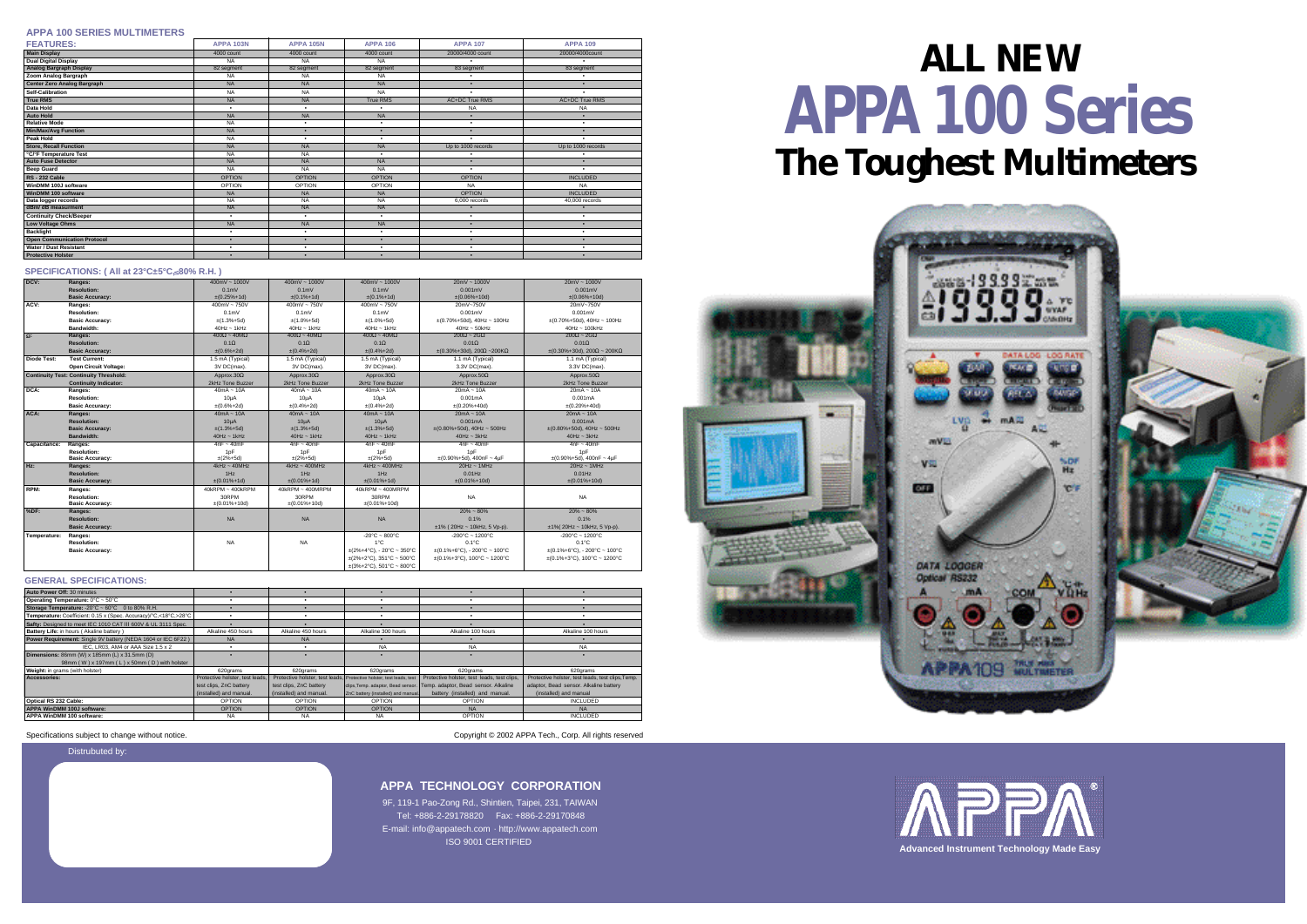## **APPA 100 Series ALL NEW**





| DCV:               | Ranges:                                       | $400mV - 1000V$      | $400mV - 1000V$       | $400mV - 1000V$                | $20mV - 1000V$                                           | $20mV - 1000V$                                           |
|--------------------|-----------------------------------------------|----------------------|-----------------------|--------------------------------|----------------------------------------------------------|----------------------------------------------------------|
|                    | <b>Resolution:</b>                            | 0.1 <sub>m</sub>     | 0.1 <sub>m</sub>      | 0.1 <sub>m</sub>               | 0.001mV                                                  | $0.001$ m $V$                                            |
|                    | <b>Basic Accuracy:</b>                        | $\pm (0.25\% + 1d)$  | $\pm (0.1\% + 1d)$    | $\pm (0.1\% + 1d)$             | $±(0.06\%+10d)$                                          | $±(0.06\%+10d)$                                          |
| ACV:               | Ranges:                                       | $400mV - 750V$       | $400mV - 750V$        | $400mV - 750V$                 | 20mV~750V                                                | 20mV~750V                                                |
|                    | <b>Resolution:</b>                            | 0.1 <sub>m</sub>     | $0.1m$ V              | 0.1 <sub>m</sub>               | 0.001mV                                                  | $0.001$ m $V$                                            |
|                    | <b>Basic Accuracy:</b>                        | $\pm$ (1.3%+5d)      | $±(1.0\%+5d)$         | $±(1.0\%+5d)$                  | $\pm (0.70\% + 50d)$ , 40Hz ~ 100Hz                      | $\pm$ (0.70%+50d), 40Hz ~ 100Hz                          |
|                    | <b>Bandwidth:</b>                             | $40Hz \sim 1kHz$     | $40Hz \sim 1kHz$      | $40Hz - 1kHz$                  | $40$ Hz $\sim$ 50kHz                                     | $40Hz \sim 100kHz$                                       |
| $\Omega$ :         | Ranges:                                       | $400 - 40M$          | $400 - 40M$           | $400 - 40M$                    | $200 - 2G$                                               | $200 - 2G$                                               |
|                    | <b>Resolution:</b>                            | 0.1                  | 0.1                   | 0.1                            | 0.01                                                     | 0.01                                                     |
|                    | <b>Basic Accuracy:</b>                        | $\pm (0.6\% + 2d)$   | $\pm (0.4\% + 2d)$    | $\pm (0.4\% + 2d)$             | $\pm (0.30\% + 30d), 200$ ~200K                          | $\pm (0.30\% + 30d), 200$ ~ 200K                         |
| <b>Diode Test:</b> | <b>Test Current:</b>                          | 1.5 mA (Typical)     | 1.5 mA (Typical)      | 1.5 mA (Typical)               | 1.1 mA (Typical)                                         | 1.1 mA (Typical)                                         |
|                    | Open Circuit Voltage:                         | 3V DC(max).          | 3V DC(max).           | 3V DC(max).                    | 3.3V DC(max).                                            | 3.3V DC(max).                                            |
|                    | <b>Continuity Test: Continuity Threshold:</b> | Approx.30            | Approx.30             | Approx.30                      | Approx.50                                                | Approx.50                                                |
|                    | <b>Continuity Indicator:</b>                  | 2kHz Tone Buzzer     | 2kHz Tone Buzzer      | 2kHz Tone Buzzer               | 2kHz Tone Buzzer                                         | 2kHz Tone Buzzer                                         |
| DCA:               | Ranges:                                       | $40mA - 10A$         | $40mA - 10A$          | $40mA - 10A$                   | $20mA - 10A$                                             | $20mA - 10A$                                             |
|                    | <b>Resolution:</b>                            | $10\mu$ A            | 10 <sub>µ</sub> A     | $10\mu$ A                      | 0.001mA                                                  | 0.001mA                                                  |
|                    | <b>Basic Accuracy:</b>                        | $\pm (0.6\% + 2d)$   | $\pm (0.4\% + 2d)$    | $\pm (0.4\% + 2d)$             | $\pm (0.20\% + 40d)$                                     | $\pm (0.20\% + 40d)$                                     |
| ACA:               | Ranges:                                       | $40mA - 10A$         | $40mA - 10A$          | $40mA - 10A$                   | $20mA - 10A$                                             | $20mA - 10A$                                             |
|                    | <b>Resolution:</b>                            | 10 <sub>µ</sub> A    | $10\mu$ A             | $10\mu$ A                      | 0.001mA                                                  | 0.001mA                                                  |
|                    | <b>Basic Accuracy:</b>                        | $±(1.3%+5d)$         | $\pm(1.3\% + 5d)$     | $\pm(1.3\% + 5d)$              | $\pm (0.80\% + 50d), 40Hz \sim 500Hz$                    | $\pm (0.80\% + 50d), 40Hz \sim 500Hz$                    |
|                    | <b>Bandwidth:</b>                             | $40Hz \sim 1kHz$     | $40Hz \sim 1kHz$      | $40Hz \sim 1kHz$               | $40Hz \sim 3kHz$                                         | $40Hz \sim 3kHz$                                         |
| Capacitance:       | Ranges:                                       | $4nF - 40mF$         | $4nF - 40mF$          | $4nF - 40mF$                   | $4nF - 40mF$                                             | $4nF - 40mF$                                             |
|                    | <b>Resolution:</b>                            | 1pF                  | 1 <sub>D</sub> F      | 1pF                            | 1pF                                                      | 1pF                                                      |
|                    | <b>Basic Accuracy:</b>                        | $\pm(2\% + 5d)$      | $\pm(2\% + 5d)$       | $\pm(2\% + 5d)$                | $\pm (0.90\% + 5d)$ , 400nF ~ 4µF                        | $\pm (0.90\% + 5d), 400nF - 4\mu F$                      |
| Hz:                | Ranges:                                       | $4$ kHz ~ $40$ MHz   | $4kHz \sim 400MHz$    | $4$ kHz ~ $400$ MHz            | $20$ Hz ~ $1$ MHz                                        | $20Hz \sim 1MHz$                                         |
|                    | <b>Resolution:</b>                            | 1Hz                  | 1Hz                   | 1Hz                            | $0.01$ Hz                                                | $0.01$ Hz                                                |
|                    | <b>Basic Accuracy:</b>                        | $±(0.01%+1d)$        | $±(0.01\%+1d)$        | $\pm (0.01\% + 1d)$            | $\pm (0.01\% + 10d)$                                     | $\pm (0.01\% + 10d)$                                     |
| RPM:               | Ranges:                                       | 40kRPM ~ 400kRPM     | $40kRPM \sim 400MRPM$ | $40$ kRPM ~ $400$ MRPM         |                                                          |                                                          |
|                    | <b>Resolution:</b>                            | 30RPM                | 30RPM                 | 30RPM                          | <b>NA</b>                                                | <b>NA</b>                                                |
|                    | <b>Basic Accuracy:</b>                        | $\pm (0.01\% + 10d)$ | $\pm (0.01\% + 10d)$  | $±(0.01\%+10d)$                |                                                          |                                                          |
| %DF:               | Ranges:                                       |                      |                       |                                | $20\% - 80\%$                                            | $20\% - 80\%$                                            |
|                    | <b>Resolution:</b>                            | <b>NA</b>            | <b>NA</b>             | <b>NA</b>                      | 0.1%                                                     | 0.1%                                                     |
|                    | <b>Basic Accuracy:</b>                        |                      |                       |                                | $±1\%$ (20Hz ~ 10kHz, 5 Vp-p).                           | $±1\%$ (20Hz ~ 10kHz, 5 Vp-p).                           |
| Temperature:       | Ranges:                                       |                      |                       | -20°C ~ 800°C                  | $-200^{\circ}$ C ~ 1200 $^{\circ}$ C                     | $-200^{\circ}$ C ~ 1200 $^{\circ}$ C                     |
|                    | <b>Resolution:</b>                            | <b>NA</b>            | <b>NA</b>             | 1°C                            | $0.1^{\circ}$ C                                          | $0.1^{\circ}$ C                                          |
|                    | <b>Basic Accuracy:</b>                        |                      |                       | $\pm$ (2%+4°C), - 20°C ~ 350°C | $\pm (0.1\% + 6^{\circ}C), -200^{\circ}C - 100^{\circ}C$ | $\pm (0.1\% + 6^{\circ}C)$ , - 200°C ~ 100°C             |
|                    |                                               |                      |                       | $\pm$ (2%+2°C), 351°C ~ 500°C  | $\pm (0.1\% + 3\degree C)$ , 100°C ~ 1200°C              | $\pm (0.1\% + 3^{\circ}C), 100^{\circ}C - 1200^{\circ}C$ |
|                    |                                               |                      |                       | $\pm$ (3%+2°C), 501°C ~ 800°C  |                                                          |                                                          |

#### **APPA 100 SERIES MULTIMETERS**

Distrubuted by:



**APPA TECHNOLOGY CORPORATION**

9F, 119-1 Pao-Zong Rd., Shintien, Taipei, 231, TAIWAN Tel: +886-2-29178820 Fax: +886-2-29170848 E-mail: info@appatech.com · http://www.appatech.com ISO 9001 CERTIFIED

| <b>FEATURES:</b>                   | <b>APPA 103N</b> | <b>APPA 105N</b> | <b>APPA 106</b>          | <b>APPA 107</b>          | <b>APPA 109</b>          |
|------------------------------------|------------------|------------------|--------------------------|--------------------------|--------------------------|
| <b>Main Display</b>                | 4000 count       | 4000 count       | 4000 count               | 20000/4000 count         | 20000/4000count          |
| <b>Dual Digital Display</b>        | <b>NA</b>        | <b>NA</b>        | <b>NA</b>                | $\bullet$                |                          |
| <b>Analog Bargraph Display</b>     | 82 segment       | 82 segment       | 82 segment               | 83 segment               | 83 segment               |
| <b>Zoom Analog Bargraph</b>        | <b>NA</b>        | <b>NA</b>        | <b>NA</b>                |                          |                          |
| <b>Center Zero Analog Bargraph</b> | <b>NA</b>        | <b>NA</b>        | <b>NA</b>                |                          |                          |
| <b>Self-Calibration</b>            | <b>NA</b>        | <b>NA</b>        | <b>NA</b>                |                          |                          |
| <b>True RMS</b>                    | <b>NA</b>        | <b>NA</b>        | True RMS                 | AC+DC True RMS           | AC+DC True RMS           |
| Data Hold                          | $\bullet$        | ٠                | $\bullet$                | <b>NA</b>                | <b>NA</b>                |
| <b>Auto Hold</b>                   | <b>NA</b>        | <b>NA</b>        | <b>NA</b>                |                          |                          |
| <b>Relative Mode</b>               | <b>NA</b>        | ٠                | ٠                        | $\bullet$                | $\bullet$                |
| <b>Min/Max/Avg Function</b>        | <b>NA</b>        | $\bullet$        |                          | $\overline{\phantom{0}}$ | ٠                        |
| Peak Hold                          | <b>NA</b>        | $\bullet$        | $\bullet$                | $\bullet$                | $\overline{\phantom{a}}$ |
| <b>Store, Recall Function</b>      | <b>NA</b>        | <b>NA</b>        | <b>NA</b>                | Up to 1000 records       | Up to 1000 records       |
| °C/°F Temperature Test             | <b>NA</b>        | <b>NA</b>        | $\bullet$                |                          |                          |
| <b>Auto Fuse Detector</b>          | <b>NA</b>        | <b>NA</b>        | <b>NA</b>                | $\bullet$                | ٠                        |
| <b>Beep Guard</b>                  | <b>NA</b>        | <b>NA</b>        | <b>NA</b>                | $\bullet$                | $\bullet$                |
| <b>RS-232 Cable</b>                | <b>OPTION</b>    | <b>OPTION</b>    | <b>OPTION</b>            | <b>OPTION</b>            | <b>INCLUDED</b>          |
| WinDMM 100J software               | OPTION           | OPTION           | OPTION                   | <b>NA</b>                | <b>NA</b>                |
| WinDMM 100 software                | <b>NA</b>        | <b>NA</b>        | <b>NA</b>                | <b>OPTION</b>            | <b>INCLUDED</b>          |
| Data logger records                | NA               | $\overline{NA}$  | <b>NA</b>                | 6.000 records            | 40,000 records           |
| dBm/dB measurment                  | <b>NA</b>        | NA               | <b>NA</b>                |                          |                          |
| <b>Continuity Check/Beeper</b>     | $\bullet$        | ٠                | $\bullet$                | $\bullet$                | $\bullet$                |
| <b>Low Voltage Ohms</b>            | <b>NA</b>        | <b>NA</b>        | <b>NA</b>                | $\bullet$                | $\bullet$                |
| <b>Backlight</b>                   | $\bullet$        | ٠                | $\bullet$                |                          | $\bullet$                |
| <b>Open Communication Protocol</b> | $\bullet$        |                  | $\bullet$                | $\bullet$                | $\bullet$                |
| <b>Water / Dust Resistant</b>      | $\bullet$        | ٠                | $\bullet$                | $\bullet$                | $\bullet$                |
| <b>Protective Holster</b>          |                  | $\bullet$        | $\overline{\phantom{0}}$ | $\bullet$                | ٠                        |

| Auto Power Off: 30 minutes                                       |                                 |                         |                                                                      |                                             |                                                   |
|------------------------------------------------------------------|---------------------------------|-------------------------|----------------------------------------------------------------------|---------------------------------------------|---------------------------------------------------|
| Operating Temperature: 0°C ~ 50°C                                |                                 |                         |                                                                      |                                             |                                                   |
| Storage Temperature: -20°C ~ 60°C 0 to 80% R.H.                  |                                 |                         |                                                                      |                                             |                                                   |
| Temperature: Coefficient: 0.15 x (Spec. Accuracy)/°C,<18°C,>28°C |                                 |                         |                                                                      |                                             |                                                   |
| Safty: Designed to meet IEC 1010 CAT III 600V & UL 3111 Spec.    |                                 |                         |                                                                      |                                             |                                                   |
| Battery Life: in hours (Akaline battery)                         | Alkaline 450 hours              | Alkaline 450 hours      | Alkaline 300 hours                                                   | Alkaline 100 hours                          | Alkaline 100 hours                                |
| Power Requirement: Single 9V battery (NEDA 1604 or IEC 6F22)     | <b>NA</b>                       | <b>NA</b>               |                                                                      |                                             |                                                   |
| IEC. LR03. AM4 or AAA Size 1.5 x 2                               |                                 |                         | <b>NA</b>                                                            | <b>NA</b>                                   | <b>NA</b>                                         |
| <b>Dimensions: 86mm (W) x 185mm (L) x 31.5mm (D)</b>             |                                 |                         |                                                                      |                                             |                                                   |
| 98mm (W) x 197mm (L) x 50mm (D) with holster                     |                                 |                         |                                                                      |                                             |                                                   |
| Weight: in grams (with holster)                                  | 620grams                        | 620grams                | 620grams                                                             | 620grams                                    | 620grams                                          |
| Accessories:                                                     | Protective holster, test leads, |                         | Protective holster, test leads, Protective holster, test leads, test | Protective holster, test leads, test clips, | Protective holster, test leads, test clips, Temp. |
|                                                                  | test clips, ZnC battery         | test clips, ZnC battery | clips, Temp. adaptor, Bead sensor                                    | Temp. adaptor, Bead sensor. Alkaline        | adaptor, Bead sensor. Alkaline battery            |
|                                                                  | (installed) and manual.         | (installed) and manual. | ZnC battery (installed) and manual                                   | battery (installed) and manual.             | (installed) and manual                            |
| Optical RS 232 Cable:                                            | <b>OPTION</b>                   | <b>OPTION</b>           | <b>OPTION</b>                                                        | <b>OPTION</b>                               | <b>INCLUDED</b>                                   |
| APPA WinDMM 100J software:                                       | <b>OPTION</b>                   | <b>OPTION</b>           | <b>OPTION</b>                                                        | <b>NA</b>                                   | <b>NA</b>                                         |
| APPA WinDMM 100 software:                                        | <b>NA</b>                       | <b>NA</b>               | <b>NA</b>                                                            | <b>OPTION</b>                               | <b>INCLUDED</b>                                   |

Specifications subject to change without notice. Copyright © 2002 APPA Tech., Corp. All rights reserved

#### **SPECIFICATIONS: ( All at 23°C±5°C, 80% R.H. )**

#### **GENERAL SPECIFICATIONS:**